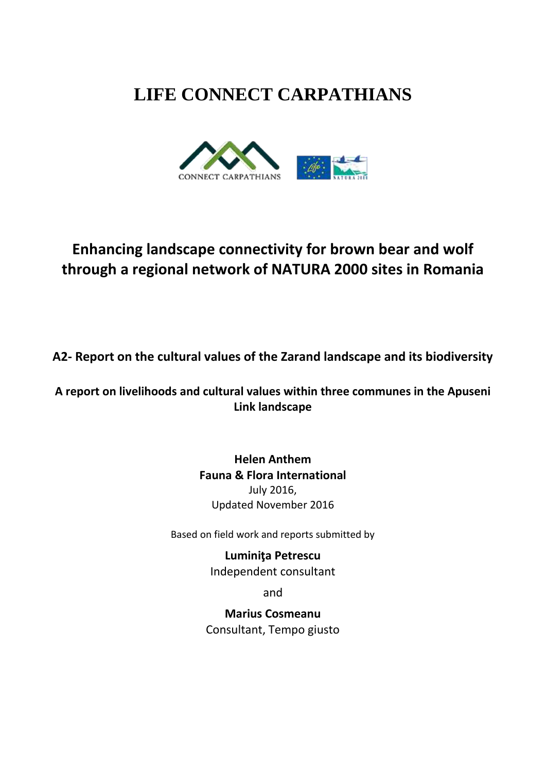# **LIFE CONNECT CARPATHIANS**



# **Enhancing landscape connectivity for brown bear and wolf through a regional network of NATURA 2000 sites in Romania**

# **A2- Report on the cultural values of the Zarand landscape and its biodiversity**

# **A report on livelihoods and cultural values within three communes in the Apuseni Link landscape**

# **Helen Anthem Fauna & Flora International** July 2016, Updated November 2016

Based on field work and reports submitted by

**Luminiţa Petrescu** Independent consultant

and

**Marius Cosmeanu** Consultant, Tempo giusto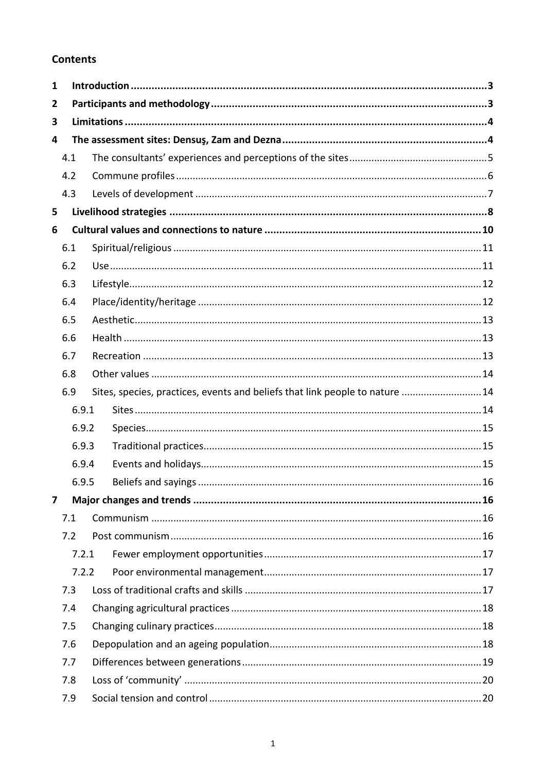# **Contents**

| $\mathbf{1}$ |       |  |                                                                              |  |  |  |  |
|--------------|-------|--|------------------------------------------------------------------------------|--|--|--|--|
| 2            |       |  |                                                                              |  |  |  |  |
| 3            |       |  |                                                                              |  |  |  |  |
| 4            |       |  |                                                                              |  |  |  |  |
|              | 4.1   |  |                                                                              |  |  |  |  |
|              | 4.2   |  |                                                                              |  |  |  |  |
|              | 4.3   |  |                                                                              |  |  |  |  |
| 5            |       |  |                                                                              |  |  |  |  |
| 6            |       |  |                                                                              |  |  |  |  |
|              | 6.1   |  |                                                                              |  |  |  |  |
|              | 6.2   |  |                                                                              |  |  |  |  |
|              | 6.3   |  |                                                                              |  |  |  |  |
|              | 6.4   |  |                                                                              |  |  |  |  |
|              | 6.5   |  |                                                                              |  |  |  |  |
|              | 6.6   |  |                                                                              |  |  |  |  |
|              | 6.7   |  |                                                                              |  |  |  |  |
|              | 6.8   |  |                                                                              |  |  |  |  |
|              | 6.9   |  | Sites, species, practices, events and beliefs that link people to nature  14 |  |  |  |  |
|              | 6.9.1 |  |                                                                              |  |  |  |  |
|              | 6.9.2 |  |                                                                              |  |  |  |  |
|              | 6.9.3 |  |                                                                              |  |  |  |  |
|              | 6.9.4 |  |                                                                              |  |  |  |  |
|              | 6.9.5 |  |                                                                              |  |  |  |  |
| 7            |       |  |                                                                              |  |  |  |  |
|              | 7.1   |  |                                                                              |  |  |  |  |
|              | 7.2   |  |                                                                              |  |  |  |  |
|              | 7.2.1 |  |                                                                              |  |  |  |  |
|              | 7.2.2 |  |                                                                              |  |  |  |  |
|              | 7.3   |  |                                                                              |  |  |  |  |
|              | 7.4   |  |                                                                              |  |  |  |  |
|              | 7.5   |  |                                                                              |  |  |  |  |
|              | 7.6   |  |                                                                              |  |  |  |  |
|              | 7.7   |  |                                                                              |  |  |  |  |
|              | 7.8   |  |                                                                              |  |  |  |  |
|              | 7.9   |  |                                                                              |  |  |  |  |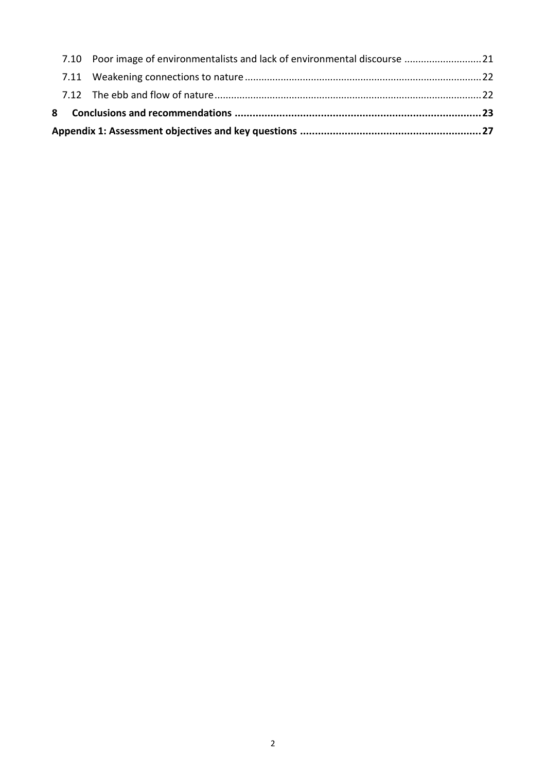|  | 7.10 Poor image of environmentalists and lack of environmental discourse  21 |  |  |  |  |
|--|------------------------------------------------------------------------------|--|--|--|--|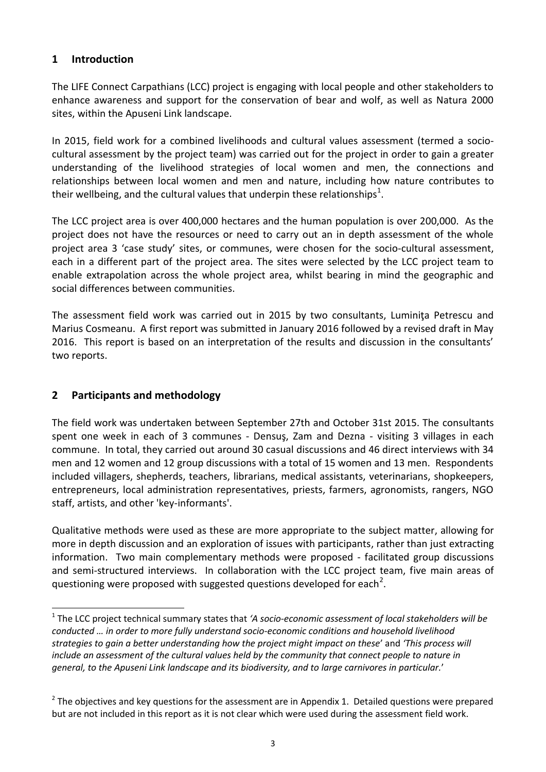# <span id="page-3-0"></span>**1 Introduction**

The LIFE Connect Carpathians (LCC) project is engaging with local people and other stakeholders to enhance awareness and support for the conservation of bear and wolf, as well as Natura 2000 sites, within the Apuseni Link landscape.

In 2015, field work for a combined livelihoods and cultural values assessment (termed a sociocultural assessment by the project team) was carried out for the project in order to gain a greater understanding of the livelihood strategies of local women and men, the connections and relationships between local women and men and nature, including how nature contributes to their wellbeing, and the cultural values that underpin these relationships<sup>1</sup>.

The LCC project area is over 400,000 hectares and the human population is over 200,000. As the project does not have the resources or need to carry out an in depth assessment of the whole project area 3 'case study' sites, or communes, were chosen for the socio-cultural assessment, each in a different part of the project area. The sites were selected by the LCC project team to enable extrapolation across the whole project area, whilst bearing in mind the geographic and social differences between communities.

The assessment field work was carried out in 2015 by two consultants, Luminiţa Petrescu and Marius Cosmeanu. A first report was submitted in January 2016 followed by a revised draft in May 2016. This report is based on an interpretation of the results and discussion in the consultants' two reports.

# <span id="page-3-1"></span>**2 Participants and methodology**

<u>.</u>

The field work was undertaken between September 27th and October 31st 2015. The consultants spent one week in each of 3 communes - Densuş, Zam and Dezna - visiting 3 villages in each commune. In total, they carried out around 30 casual discussions and 46 direct interviews with 34 men and 12 women and 12 group discussions with a total of 15 women and 13 men. Respondents included villagers, shepherds, teachers, librarians, medical assistants, veterinarians, shopkeepers, entrepreneurs, local administration representatives, priests, farmers, agronomists, rangers, NGO staff, artists, and other 'key-informants'.

Qualitative methods were used as these are more appropriate to the subject matter, allowing for more in depth discussion and an exploration of issues with participants, rather than just extracting information. Two main complementary methods were proposed - facilitated group discussions and semi-structured interviews. In collaboration with the LCC project team, five main areas of questioning were proposed with suggested questions developed for each<sup>2</sup>.

<sup>1</sup> The LCC project technical summary states that *'A socio-economic assessment of local stakeholders will be conducted … in order to more fully understand socio-economic conditions and household livelihood strategies to gain a better understanding how the project might impact on these*' and *'This process will include an assessment of the cultural values held by the community that connect people to nature in general, to the Apuseni Link landscape and its biodiversity, and to large carnivores in particular.*'

 $2$  The objectives and key questions for the assessment are in Appendix 1. Detailed questions were prepared but are not included in this report as it is not clear which were used during the assessment field work.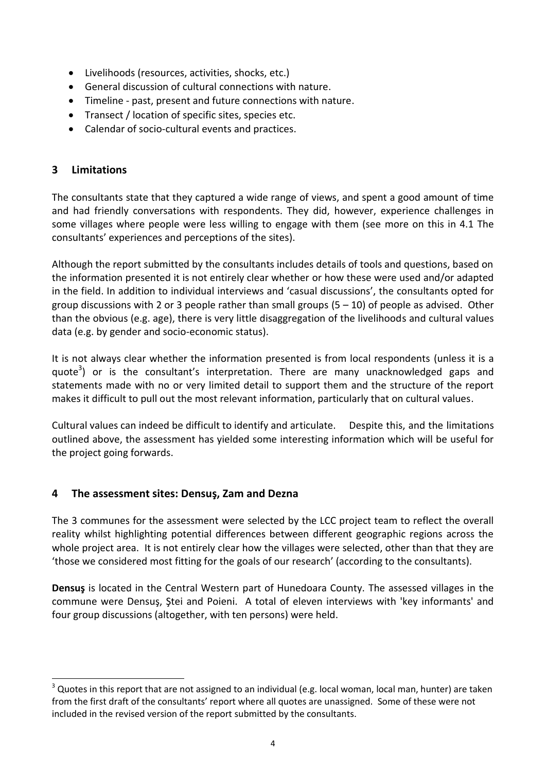- Livelihoods (resources, activities, shocks, etc.)
- General discussion of cultural connections with nature.
- Timeline past, present and future connections with nature.
- Transect / location of specific sites, species etc.
- Calendar of socio-cultural events and practices.

### <span id="page-4-0"></span>**3 Limitations**

<u>.</u>

The consultants state that they captured a wide range of views, and spent a good amount of time and had friendly conversations with respondents. They did, however, experience challenges in some villages where people were less willing to engage with them (see more on this in 4.1 The consultants' experiences and perceptions of the sites).

Although the report submitted by the consultants includes details of tools and questions, based on the information presented it is not entirely clear whether or how these were used and/or adapted in the field. In addition to individual interviews and 'casual discussions', the consultants opted for group discussions with 2 or 3 people rather than small groups  $(5 - 10)$  of people as advised. Other than the obvious (e.g. age), there is very little disaggregation of the livelihoods and cultural values data (e.g. by gender and socio-economic status).

It is not always clear whether the information presented is from local respondents (unless it is a quote<sup>3</sup>) or is the consultant's interpretation. There are many unacknowledged gaps and statements made with no or very limited detail to support them and the structure of the report makes it difficult to pull out the most relevant information, particularly that on cultural values.

Cultural values can indeed be difficult to identify and articulate. Despite this, and the limitations outlined above, the assessment has yielded some interesting information which will be useful for the project going forwards.

# <span id="page-4-1"></span>**4 The assessment sites: Densuş, Zam and Dezna**

The 3 communes for the assessment were selected by the LCC project team to reflect the overall reality whilst highlighting potential differences between different geographic regions across the whole project area. It is not entirely clear how the villages were selected, other than that they are 'those we considered most fitting for the goals of our research' (according to the consultants).

**Densuş** is located in the Central Western part of Hunedoara County. The assessed villages in the commune were Densuş, Ştei and Poieni. A total of eleven interviews with 'key informants' and four group discussions (altogether, with ten persons) were held.

<sup>&</sup>lt;sup>3</sup> Quotes in this report that are not assigned to an individual (e.g. local woman, local man, hunter) are taken from the first draft of the consultants' report where all quotes are unassigned. Some of these were not included in the revised version of the report submitted by the consultants.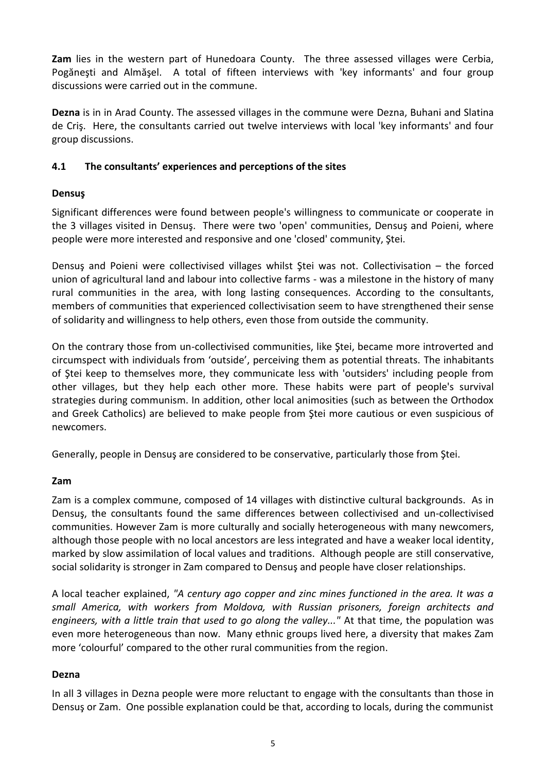**Zam** lies in the western part of Hunedoara County. The three assessed villages were Cerbia, Pogăneşti and Almăşel. A total of fifteen interviews with 'key informants' and four group discussions were carried out in the commune.

**Dezna** is in in Arad County. The assessed villages in the commune were Dezna, Buhani and Slatina de Criş. Here, the consultants carried out twelve interviews with local 'key informants' and four group discussions.

#### <span id="page-5-0"></span>**4.1 The consultants' experiences and perceptions of the sites**

#### **Densuş**

Significant differences were found between people's willingness to communicate or cooperate in the 3 villages visited in Densuş. There were two 'open' communities, Densuş and Poieni, where people were more interested and responsive and one 'closed' community, Ştei.

Densus and Poieni were collectivised villages whilst Stei was not. Collectivisation – the forced union of agricultural land and labour into collective farms - was a milestone in the history of many rural communities in the area, with long lasting consequences. According to the consultants, members of communities that experienced collectivisation seem to have strengthened their sense of solidarity and willingness to help others, even those from outside the community.

On the contrary those from un-collectivised communities, like Ştei, became more introverted and circumspect with individuals from 'outside', perceiving them as potential threats. The inhabitants of Ştei keep to themselves more, they communicate less with 'outsiders' including people from other villages, but they help each other more. These habits were part of people's survival strategies during communism. In addition, other local animosities (such as between the Orthodox and Greek Catholics) are believed to make people from Ştei more cautious or even suspicious of newcomers.

Generally, people in Densuş are considered to be conservative, particularly those from Ştei.

# **Zam**

Zam is a complex commune, composed of 14 villages with distinctive cultural backgrounds. As in Densuş, the consultants found the same differences between collectivised and un-collectivised communities. However Zam is more culturally and socially heterogeneous with many newcomers, although those people with no local ancestors are less integrated and have a weaker local identity, marked by slow assimilation of local values and traditions. Although people are still conservative, social solidarity is stronger in Zam compared to Densuş and people have closer relationships.

A local teacher explained, *"A century ago copper and zinc mines functioned in the area. It was a small America, with workers from Moldova, with Russian prisoners, foreign architects and engineers, with a little train that used to go along the valley..."* At that time, the population was even more heterogeneous than now. Many ethnic groups lived here, a diversity that makes Zam more 'colourful' compared to the other rural communities from the region.

#### **Dezna**

In all 3 villages in Dezna people were more reluctant to engage with the consultants than those in Densuş or Zam. One possible explanation could be that, according to locals, during the communist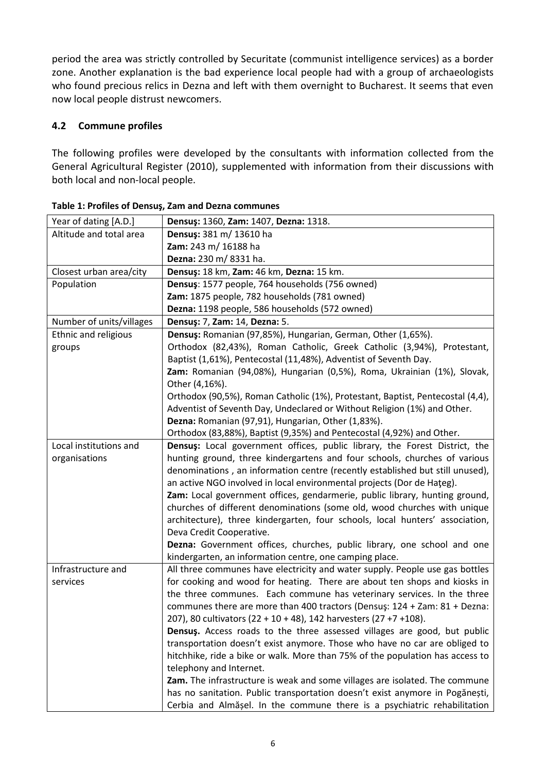period the area was strictly controlled by Securitate (communist intelligence services) as a border zone. Another explanation is the bad experience local people had with a group of archaeologists who found precious relics in Dezna and left with them overnight to Bucharest. It seems that even now local people distrust newcomers.

# <span id="page-6-0"></span>**4.2 Commune profiles**

The following profiles were developed by the consultants with information collected from the General Agricultural Register (2010), supplemented with information from their discussions with both local and non-local people.

| Year of dating [A.D.]    | Densuş: 1360, Zam: 1407, Dezna: 1318.                                          |  |  |  |
|--------------------------|--------------------------------------------------------------------------------|--|--|--|
| Altitude and total area  | Densus: 381 m/ 13610 ha                                                        |  |  |  |
|                          | Zam: 243 m/ 16188 ha                                                           |  |  |  |
|                          | Dezna: 230 m/8331 ha.                                                          |  |  |  |
| Closest urban area/city  | Densuş: 18 km, Zam: 46 km, Dezna: 15 km.                                       |  |  |  |
| Population               | Densus: 1577 people, 764 households (756 owned)                                |  |  |  |
|                          | Zam: 1875 people, 782 households (781 owned)                                   |  |  |  |
|                          | Dezna: 1198 people, 586 households (572 owned)                                 |  |  |  |
| Number of units/villages | Densuş: 7, Zam: 14, Dezna: 5.                                                  |  |  |  |
| Ethnic and religious     | Densus: Romanian (97,85%), Hungarian, German, Other (1,65%).                   |  |  |  |
| groups                   | Orthodox (82,43%), Roman Catholic, Greek Catholic (3,94%), Protestant,         |  |  |  |
|                          | Baptist (1,61%), Pentecostal (11,48%), Adventist of Seventh Day.               |  |  |  |
|                          | Zam: Romanian (94,08%), Hungarian (0,5%), Roma, Ukrainian (1%), Slovak,        |  |  |  |
|                          | Other (4,16%).                                                                 |  |  |  |
|                          | Orthodox (90,5%), Roman Catholic (1%), Protestant, Baptist, Pentecostal (4,4), |  |  |  |
|                          | Adventist of Seventh Day, Undeclared or Without Religion (1%) and Other.       |  |  |  |
|                          | Dezna: Romanian (97,91), Hungarian, Other (1,83%).                             |  |  |  |
|                          | Orthodox (83,88%), Baptist (9,35%) and Pentecostal (4,92%) and Other.          |  |  |  |
| Local institutions and   | Densus: Local government offices, public library, the Forest District, the     |  |  |  |
| organisations            | hunting ground, three kindergartens and four schools, churches of various      |  |  |  |
|                          | denominations, an information centre (recently established but still unused),  |  |  |  |
|                          | an active NGO involved in local environmental projects (Dor de Hateg).         |  |  |  |
|                          | Zam: Local government offices, gendarmerie, public library, hunting ground,    |  |  |  |
|                          | churches of different denominations (some old, wood churches with unique       |  |  |  |
|                          | architecture), three kindergarten, four schools, local hunters' association,   |  |  |  |
|                          | Deva Credit Cooperative.                                                       |  |  |  |
|                          | Dezna: Government offices, churches, public library, one school and one        |  |  |  |
|                          | kindergarten, an information centre, one camping place.                        |  |  |  |
| Infrastructure and       | All three communes have electricity and water supply. People use gas bottles   |  |  |  |
| services                 | for cooking and wood for heating. There are about ten shops and kiosks in      |  |  |  |
|                          | the three communes. Each commune has veterinary services. In the three         |  |  |  |
|                          | communes there are more than 400 tractors (Densuş: 124 + Zam: 81 + Dezna:      |  |  |  |
|                          | 207), 80 cultivators (22 + 10 + 48), 142 harvesters (27 +7 +108).              |  |  |  |
|                          | Densus. Access roads to the three assessed villages are good, but public       |  |  |  |
|                          | transportation doesn't exist anymore. Those who have no car are obliged to     |  |  |  |
|                          | hitchhike, ride a bike or walk. More than 75% of the population has access to  |  |  |  |
|                          | telephony and Internet.                                                        |  |  |  |
|                          | Zam. The infrastructure is weak and some villages are isolated. The commune    |  |  |  |
|                          | has no sanitation. Public transportation doesn't exist anymore in Pogănești,   |  |  |  |
|                          | Cerbia and Almășel. In the commune there is a psychiatric rehabilitation       |  |  |  |

**Table 1: Profiles of Densuş, Zam and Dezna communes**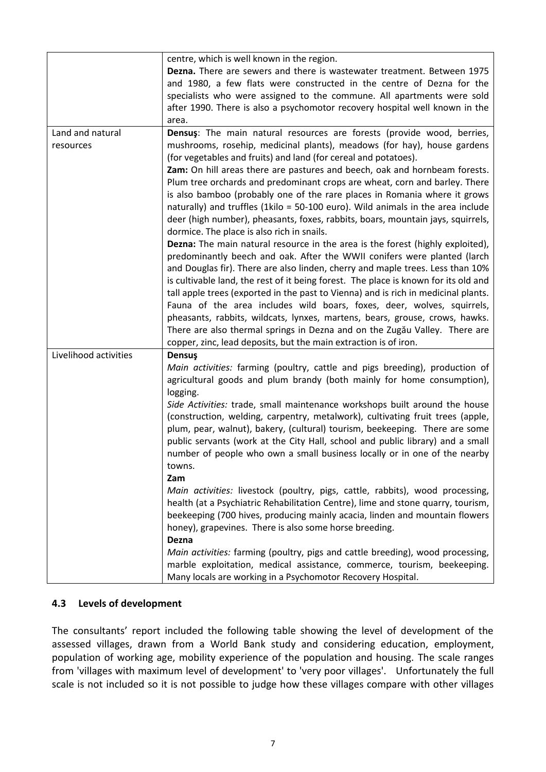| centre, which is well known in the region.<br>Dezna. There are sewers and there is wastewater treatment. Between 1975<br>and 1980, a few flats were constructed in the centre of Dezna for the<br>specialists who were assigned to the commune. All apartments were sold<br>after 1990. There is also a psychomotor recovery hospital well known in the<br>area.                                                                                                                                                                                                                                                                                                                                                                                                                                                                                                                                                                                                                                                                                                                               |
|------------------------------------------------------------------------------------------------------------------------------------------------------------------------------------------------------------------------------------------------------------------------------------------------------------------------------------------------------------------------------------------------------------------------------------------------------------------------------------------------------------------------------------------------------------------------------------------------------------------------------------------------------------------------------------------------------------------------------------------------------------------------------------------------------------------------------------------------------------------------------------------------------------------------------------------------------------------------------------------------------------------------------------------------------------------------------------------------|
| Densus: The main natural resources are forests (provide wood, berries,<br>mushrooms, rosehip, medicinal plants), meadows (for hay), house gardens<br>(for vegetables and fruits) and land (for cereal and potatoes).<br>Zam: On hill areas there are pastures and beech, oak and hornbeam forests.<br>Plum tree orchards and predominant crops are wheat, corn and barley. There<br>is also bamboo (probably one of the rare places in Romania where it grows<br>naturally) and truffles (1kilo = 50-100 euro). Wild animals in the area include<br>deer (high number), pheasants, foxes, rabbits, boars, mountain jays, squirrels,<br>dormice. The place is also rich in snails.<br><b>Dezna:</b> The main natural resource in the area is the forest (highly exploited),<br>predominantly beech and oak. After the WWII conifers were planted (larch<br>and Douglas fir). There are also linden, cherry and maple trees. Less than 10%<br>is cultivable land, the rest of it being forest. The place is known for its old and                                                                |
| tall apple trees (exported in the past to Vienna) and is rich in medicinal plants.<br>Fauna of the area includes wild boars, foxes, deer, wolves, squirrels,<br>pheasants, rabbits, wildcats, lynxes, martens, bears, grouse, crows, hawks.<br>There are also thermal springs in Dezna and on the Zugău Valley. There are<br>copper, zinc, lead deposits, but the main extraction is of iron.                                                                                                                                                                                                                                                                                                                                                                                                                                                                                                                                                                                                                                                                                                  |
| Densuş<br>Main activities: farming (poultry, cattle and pigs breeding), production of<br>agricultural goods and plum brandy (both mainly for home consumption),<br>logging.<br>Side Activities: trade, small maintenance workshops built around the house<br>(construction, welding, carpentry, metalwork), cultivating fruit trees (apple,<br>plum, pear, walnut), bakery, (cultural) tourism, beekeeping. There are some<br>public servants (work at the City Hall, school and public library) and a small<br>number of people who own a small business locally or in one of the nearby<br>towns.<br>Zam<br>Main activities: livestock (poultry, pigs, cattle, rabbits), wood processing,<br>health (at a Psychiatric Rehabilitation Centre), lime and stone quarry, tourism,<br>beekeeping (700 hives, producing mainly acacia, linden and mountain flowers<br>honey), grapevines. There is also some horse breeding.<br>Dezna<br>Main activities: farming (poultry, pigs and cattle breeding), wood processing,<br>marble exploitation, medical assistance, commerce, tourism, beekeeping. |
|                                                                                                                                                                                                                                                                                                                                                                                                                                                                                                                                                                                                                                                                                                                                                                                                                                                                                                                                                                                                                                                                                                |

#### <span id="page-7-0"></span>**4.3 Levels of development**

The consultants' report included the following table showing the level of development of the assessed villages, drawn from a World Bank study and considering education, employment, population of working age, mobility experience of the population and housing. The scale ranges from 'villages with maximum level of development' to 'very poor villages'. Unfortunately the full scale is not included so it is not possible to judge how these villages compare with other villages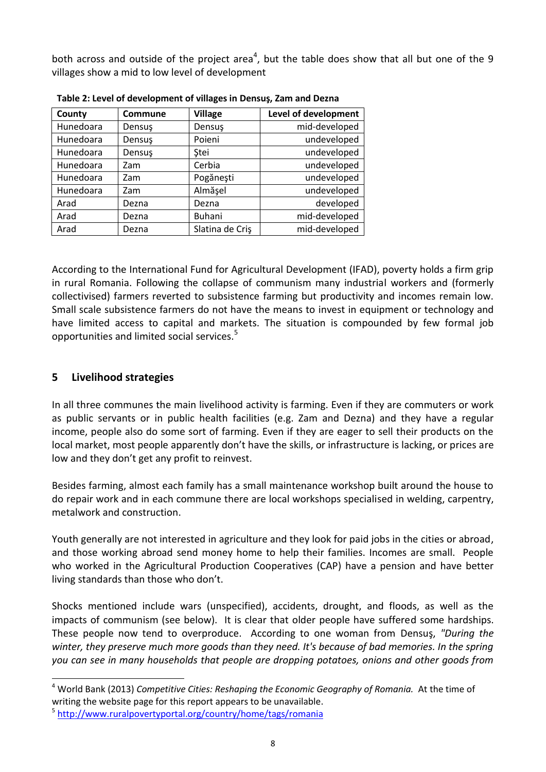both across and outside of the project area<sup>4</sup>, but the table does show that all but one of the 9 villages show a mid to low level of development

| <b>Commune</b> | <b>Village</b>  | Level of development |
|----------------|-----------------|----------------------|
| Densus         | Densus          | mid-developed        |
| Densuş         | Poieni          | undeveloped          |
| Densuş         | <b>Stei</b>     | undeveloped          |
| Zam            | Cerbia          | undeveloped          |
| Zam            | Pogănești       | undeveloped          |
| Zam            | Almășel         | undeveloped          |
| Dezna          | Dezna           | developed            |
| Dezna          | <b>Buhani</b>   | mid-developed        |
| Dezna          | Slatina de Cris | mid-developed        |
|                |                 |                      |

**Table 2: Level of development of villages in Densuş, Zam and Dezna**

According to the International Fund for Agricultural Development (IFAD), poverty holds a firm grip in rural Romania. Following the collapse of communism many industrial workers and (formerly collectivised) farmers reverted to subsistence farming but productivity and incomes remain low. Small scale subsistence farmers do not have the means to invest in equipment or technology and have limited access to capital and markets. The situation is compounded by few formal job opportunities and limited social services.<sup>5</sup>

#### <span id="page-8-0"></span>**5 Livelihood strategies**

<u>.</u>

In all three communes the main livelihood activity is farming. Even if they are commuters or work as public servants or in public health facilities (e.g. Zam and Dezna) and they have a regular income, people also do some sort of farming. Even if they are eager to sell their products on the local market, most people apparently don't have the skills, or infrastructure is lacking, or prices are low and they don't get any profit to reinvest.

Besides farming, almost each family has a small maintenance workshop built around the house to do repair work and in each commune there are local workshops specialised in welding, carpentry, metalwork and construction.

Youth generally are not interested in agriculture and they look for paid jobs in the cities or abroad, and those working abroad send money home to help their families. Incomes are small. People who worked in the Agricultural Production Cooperatives (CAP) have a pension and have better living standards than those who don't.

Shocks mentioned include wars (unspecified), accidents, drought, and floods, as well as the impacts of communism (see below). It is clear that older people have suffered some hardships. These people now tend to overproduce. According to one woman from Densuş, *"During the winter, they preserve much more goods than they need. It's because of bad memories. In the spring you can see in many households that people are dropping potatoes, onions and other goods from* 

<sup>4</sup> World Bank (2013) *Competitive Cities: Reshaping the Economic Geography of Romania.* At the time of writing the website page for this report appears to be unavailable.

<sup>5</sup> <http://www.ruralpovertyportal.org/country/home/tags/romania>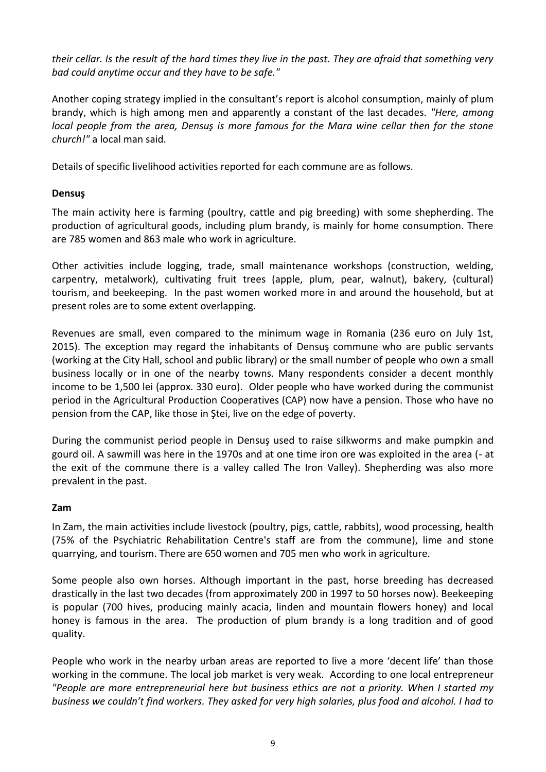*their cellar. Is the result of the hard times they live in the past. They are afraid that something very bad could anytime occur and they have to be safe."*

Another coping strategy implied in the consultant's report is alcohol consumption, mainly of plum brandy, which is high among men and apparently a constant of the last decades. *"Here, among local people from the area, Densus is more famous for the Mara wine cellar then for the stone church!"* a local man said.

Details of specific livelihood activities reported for each commune are as follows.

#### **Densuş**

The main activity here is farming (poultry, cattle and pig breeding) with some shepherding. The production of agricultural goods, including plum brandy, is mainly for home consumption. There are 785 women and 863 male who work in agriculture.

Other activities include logging, trade, small maintenance workshops (construction, welding, carpentry, metalwork), cultivating fruit trees (apple, plum, pear, walnut), bakery, (cultural) tourism, and beekeeping. In the past women worked more in and around the household, but at present roles are to some extent overlapping.

Revenues are small, even compared to the minimum wage in Romania (236 euro on July 1st, 2015). The exception may regard the inhabitants of Densuş commune who are public servants (working at the City Hall, school and public library) or the small number of people who own a small business locally or in one of the nearby towns. Many respondents consider a decent monthly income to be 1,500 lei (approx. 330 euro). Older people who have worked during the communist period in the Agricultural Production Cooperatives (CAP) now have a pension. Those who have no pension from the CAP, like those in Ştei, live on the edge of poverty.

During the communist period people in Densuş used to raise silkworms and make pumpkin and gourd oil. A sawmill was here in the 1970s and at one time iron ore was exploited in the area (- at the exit of the commune there is a valley called The Iron Valley). Shepherding was also more prevalent in the past.

#### **Zam**

In Zam, the main activities include livestock (poultry, pigs, cattle, rabbits), wood processing, health (75% of the Psychiatric Rehabilitation Centre's staff are from the commune), lime and stone quarrying, and tourism. There are 650 women and 705 men who work in agriculture.

Some people also own horses. Although important in the past, horse breeding has decreased drastically in the last two decades (from approximately 200 in 1997 to 50 horses now). Beekeeping is popular (700 hives, producing mainly acacia, linden and mountain flowers honey) and local honey is famous in the area. The production of plum brandy is a long tradition and of good quality.

People who work in the nearby urban areas are reported to live a more 'decent life' than those working in the commune. The local job market is very weak. According to one local entrepreneur *"People are more entrepreneurial here but business ethics are not a priority. When I started my business we couldn't find workers. They asked for very high salaries, plus food and alcohol. I had to*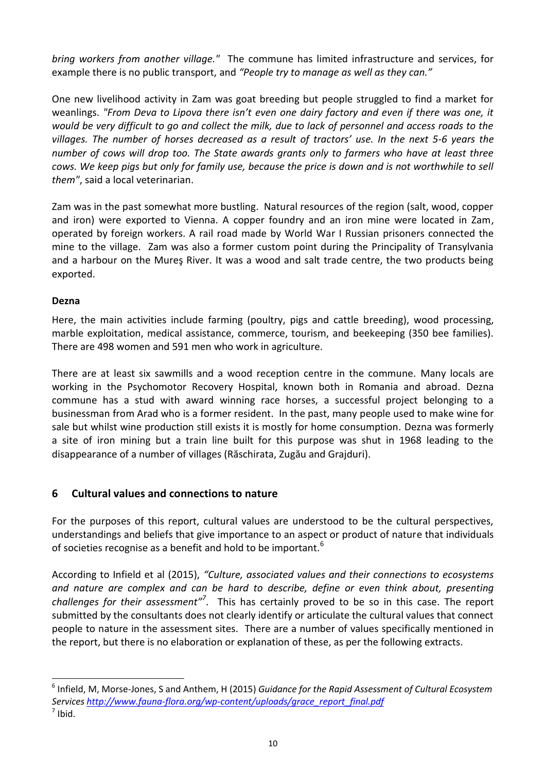*bring workers from another village."* The commune has limited infrastructure and services, for example there is no public transport, and *"People try to manage as well as they can."*

One new livelihood activity in Zam was goat breeding but people struggled to find a market for weanlings. *"From Deva to Lipova there isn't even one dairy factory and even if there was one, it would be very difficult to go and collect the milk, due to lack of personnel and access roads to the villages. The number of horses decreased as a result of tractors' use. In the next 5-6 years the number of cows will drop too. The State awards grants only to farmers who have at least three cows. We keep pigs but only for family use, because the price is down and is not worthwhile to sell them"*, said a local veterinarian.

Zam was in the past somewhat more bustling. Natural resources of the region (salt, wood, copper and iron) were exported to Vienna. A copper foundry and an iron mine were located in Zam, operated by foreign workers. A rail road made by World War I Russian prisoners connected the mine to the village. Zam was also a former custom point during the Principality of Transylvania and a harbour on the Mureş River. It was a wood and salt trade centre, the two products being exported.

#### **Dezna**

<u>.</u>

Here, the main activities include farming (poultry, pigs and cattle breeding), wood processing, marble exploitation, medical assistance, commerce, tourism, and beekeeping (350 bee families). There are 498 women and 591 men who work in agriculture.

There are at least six sawmills and a wood reception centre in the commune. Many locals are working in the Psychomotor Recovery Hospital, known both in Romania and abroad. Dezna commune has a stud with award winning race horses, a successful project belonging to a businessman from Arad who is a former resident. In the past, many people used to make wine for sale but whilst wine production still exists it is mostly for home consumption. Dezna was formerly a site of iron mining but a train line built for this purpose was shut in 1968 leading to the disappearance of a number of villages (Răschirata, Zugău and Grajduri).

# <span id="page-10-0"></span>**6 Cultural values and connections to nature**

For the purposes of this report, cultural values are understood to be the cultural perspectives, understandings and beliefs that give importance to an aspect or product of nature that individuals of societies recognise as a benefit and hold to be important.<sup>6</sup>

According to Infield et al (2015), *"Culture, associated values and their connections to ecosystems and nature are complex and can be hard to describe, define or even think about, presenting*  challenges for their assessment"<sup>7</sup>. This has certainly proved to be so in this case. The report submitted by the consultants does not clearly identify or articulate the cultural values that connect people to nature in the assessment sites. There are a number of values specifically mentioned in the report, but there is no elaboration or explanation of these, as per the following extracts.

<sup>6</sup> Infield, M, Morse-Jones, S and Anthem, H (2015) *Guidance for the Rapid Assessment of Cultural Ecosystem Services [http://www.fauna-flora.org/wp-content/uploads/grace\\_report\\_final.pdf](http://www.fauna-flora.org/wp-content/uploads/grace_report_final.pdf)*  $<sup>7</sup>$  Ibid.</sup>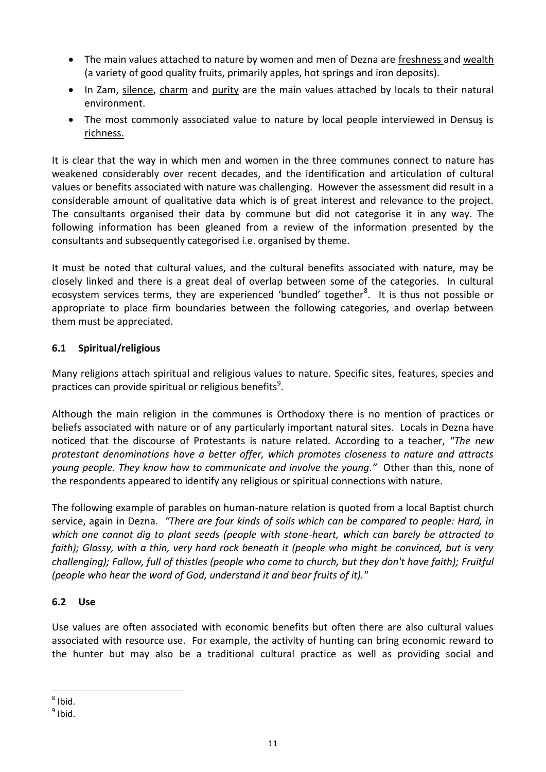- The main values attached to nature by women and men of Dezna are freshness and wealth (a variety of good quality fruits, primarily apples, hot springs and iron deposits).
- In Zam, silence, charm and purity are the main values attached by locals to their natural environment.
- The most commonly associated value to nature by local people interviewed in Densuş is richness.

It is clear that the way in which men and women in the three communes connect to nature has weakened considerably over recent decades, and the identification and articulation of cultural values or benefits associated with nature was challenging. However the assessment did result in a considerable amount of qualitative data which is of great interest and relevance to the project. The consultants organised their data by commune but did not categorise it in any way. The following information has been gleaned from a review of the information presented by the consultants and subsequently categorised i.e. organised by theme.

It must be noted that cultural values, and the cultural benefits associated with nature, may be closely linked and there is a great deal of overlap between some of the categories. In cultural ecosystem services terms, they are experienced 'bundled' together<sup>8</sup>. It is thus not possible or appropriate to place firm boundaries between the following categories, and overlap between them must be appreciated.

#### <span id="page-11-0"></span>**6.1 Spiritual/religious**

Many religions attach spiritual and religious values to nature. Specific sites, features, species and practices can provide spiritual or religious benefits<sup>9</sup>.

Although the main religion in the communes is Orthodoxy there is no mention of practices or beliefs associated with nature or of any particularly important natural sites. Locals in Dezna have noticed that the discourse of Protestants is nature related. According to a teacher, *"The new protestant denominations have a better offer, which promotes closeness to nature and attracts young people. They know how to communicate and involve the young."* Other than this, none of the respondents appeared to identify any religious or spiritual connections with nature.

The following example of parables on human-nature relation is quoted from a local Baptist church service, again in Dezna. *"There are four kinds of soils which can be compared to people: Hard, in which one cannot dig to plant seeds (people with stone-heart, which can barely be attracted to faith); Glassy, with a thin, very hard rock beneath it (people who might be convinced, but is very challenging); Fallow, full of thistles (people who come to church, but they don't have faith); Fruitful (people who hear the word of God, understand it and bear fruits of it)."*

#### <span id="page-11-1"></span>**6.2 Use**

Use values are often associated with economic benefits but often there are also cultural values associated with resource use. For example, the activity of hunting can bring economic reward to the hunter but may also be a traditional cultural practice as well as providing social and

-

 $8$  Ibid.

<sup>&</sup>lt;sup>9</sup> Ibid.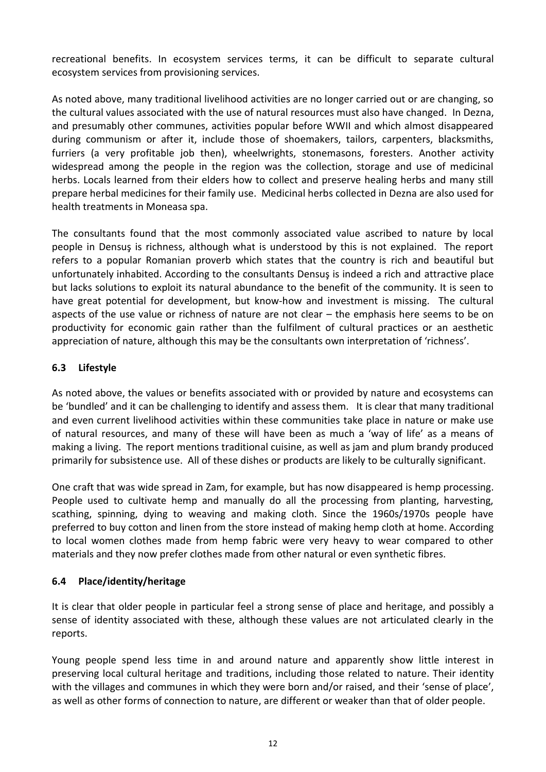recreational benefits. In ecosystem services terms, it can be difficult to separate cultural ecosystem services from provisioning services.

As noted above, many traditional livelihood activities are no longer carried out or are changing, so the cultural values associated with the use of natural resources must also have changed. In Dezna, and presumably other communes, activities popular before WWII and which almost disappeared during communism or after it, include those of shoemakers, tailors, carpenters, blacksmiths, furriers (a very profitable job then), wheelwrights, stonemasons, foresters. Another activity widespread among the people in the region was the collection, storage and use of medicinal herbs. Locals learned from their elders how to collect and preserve healing herbs and many still prepare herbal medicines for their family use. Medicinal herbs collected in Dezna are also used for health treatments in Moneasa spa.

The consultants found that the most commonly associated value ascribed to nature by local people in Densuş is richness, although what is understood by this is not explained. The report refers to a popular Romanian proverb which states that the country is rich and beautiful but unfortunately inhabited. According to the consultants Densuş is indeed a rich and attractive place but lacks solutions to exploit its natural abundance to the benefit of the community. It is seen to have great potential for development, but know-how and investment is missing. The cultural aspects of the use value or richness of nature are not clear – the emphasis here seems to be on productivity for economic gain rather than the fulfilment of cultural practices or an aesthetic appreciation of nature, although this may be the consultants own interpretation of 'richness'.

#### <span id="page-12-0"></span>**6.3 Lifestyle**

As noted above, the values or benefits associated with or provided by nature and ecosystems can be 'bundled' and it can be challenging to identify and assess them. It is clear that many traditional and even current livelihood activities within these communities take place in nature or make use of natural resources, and many of these will have been as much a 'way of life' as a means of making a living. The report mentions traditional cuisine, as well as jam and plum brandy produced primarily for subsistence use. All of these dishes or products are likely to be culturally significant.

One craft that was wide spread in Zam, for example, but has now disappeared is hemp processing. People used to cultivate hemp and manually do all the processing from planting, harvesting, scathing, spinning, dying to weaving and making cloth. Since the 1960s/1970s people have preferred to buy cotton and linen from the store instead of making hemp cloth at home. According to local women clothes made from hemp fabric were very heavy to wear compared to other materials and they now prefer clothes made from other natural or even synthetic fibres.

#### <span id="page-12-1"></span>**6.4 Place/identity/heritage**

It is clear that older people in particular feel a strong sense of place and heritage, and possibly a sense of identity associated with these, although these values are not articulated clearly in the reports.

Young people spend less time in and around nature and apparently show little interest in preserving local cultural heritage and traditions, including those related to nature. Their identity with the villages and communes in which they were born and/or raised, and their 'sense of place', as well as other forms of connection to nature, are different or weaker than that of older people.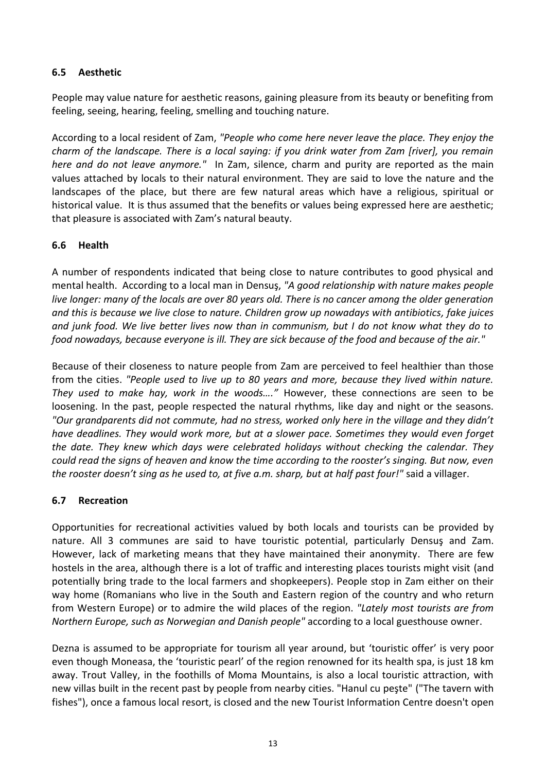#### <span id="page-13-0"></span>**6.5 Aesthetic**

People may value nature for aesthetic reasons, gaining pleasure from its beauty or benefiting from feeling, seeing, hearing, feeling, smelling and touching nature.

According to a local resident of Zam, *"People who come here never leave the place. They enjoy the charm of the landscape. There is a local saying: if you drink water from Zam [river], you remain here and do not leave anymore."* In Zam, silence, charm and purity are reported as the main values attached by locals to their natural environment. They are said to love the nature and the landscapes of the place, but there are few natural areas which have a religious, spiritual or historical value. It is thus assumed that the benefits or values being expressed here are aesthetic; that pleasure is associated with Zam's natural beauty.

#### <span id="page-13-1"></span>**6.6 Health**

A number of respondents indicated that being close to nature contributes to good physical and mental health. According to a local man in Densuş, *"A good relationship with nature makes people live longer: many of the locals are over 80 years old. There is no cancer among the older generation and this is because we live close to nature. Children grow up nowadays with antibiotics, fake juices and junk food. We live better lives now than in communism, but I do not know what they do to food nowadays, because everyone is ill. They are sick because of the food and because of the air."*

Because of their closeness to nature people from Zam are perceived to feel healthier than those from the cities. *"People used to live up to 80 years and more, because they lived within nature. They used to make hay, work in the woods…."* However, these connections are seen to be loosening. In the past, people respected the natural rhythms, like day and night or the seasons. *"Our grandparents did not commute, had no stress, worked only here in the village and they didn't have deadlines. They would work more, but at a slower pace. Sometimes they would even forget the date. They knew which days were celebrated holidays without checking the calendar. They could read the signs of heaven and know the time according to the rooster's singing. But now, even the rooster doesn't sing as he used to, at five a.m. sharp, but at half past four!"* said a villager.

#### <span id="page-13-2"></span>**6.7 Recreation**

Opportunities for recreational activities valued by both locals and tourists can be provided by nature. All 3 communes are said to have touristic potential, particularly Densuş and Zam. However, lack of marketing means that they have maintained their anonymity. There are few hostels in the area, although there is a lot of traffic and interesting places tourists might visit (and potentially bring trade to the local farmers and shopkeepers). People stop in Zam either on their way home (Romanians who live in the South and Eastern region of the country and who return from Western Europe) or to admire the wild places of the region. *"Lately most tourists are from Northern Europe, such as Norwegian and Danish people"* according to a local guesthouse owner.

Dezna is assumed to be appropriate for tourism all year around, but 'touristic offer' is very poor even though Moneasa, the 'touristic pearl' of the region renowned for its health spa, is just 18 km away. Trout Valley, in the foothills of Moma Mountains, is also a local touristic attraction, with new villas built in the recent past by people from nearby cities. "Hanul cu peşte" ("The tavern with fishes"), once a famous local resort, is closed and the new Tourist Information Centre doesn't open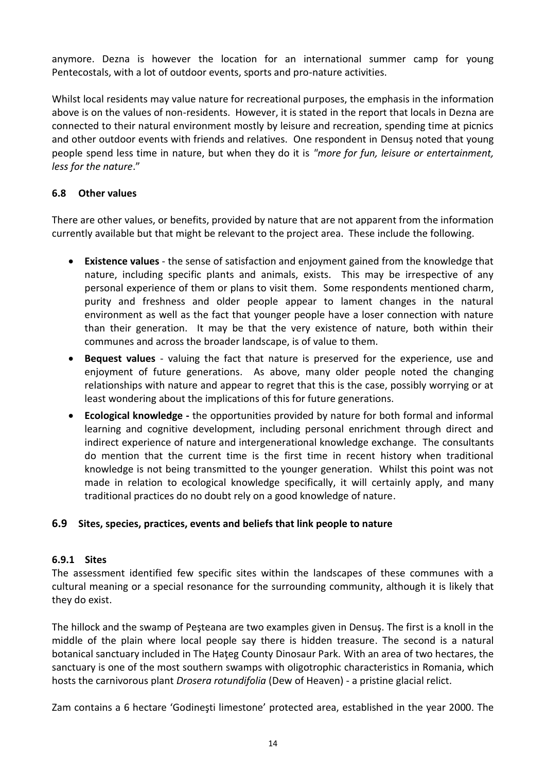anymore. Dezna is however the location for an international summer camp for young Pentecostals, with a lot of outdoor events, sports and pro-nature activities.

Whilst local residents may value nature for recreational purposes, the emphasis in the information above is on the values of non-residents. However, it is stated in the report that locals in Dezna are connected to their natural environment mostly by leisure and recreation, spending time at picnics and other outdoor events with friends and relatives. One respondent in Densuş noted that young people spend less time in nature, but when they do it is *"more for fun, leisure or entertainment, less for the nature*."

#### <span id="page-14-0"></span>**6.8 Other values**

There are other values, or benefits, provided by nature that are not apparent from the information currently available but that might be relevant to the project area. These include the following.

- **Existence values**  the sense of satisfaction and enjoyment gained from the knowledge that nature, including specific plants and animals, exists. This may be irrespective of any personal experience of them or plans to visit them. Some respondents mentioned charm, purity and freshness and older people appear to lament changes in the natural environment as well as the fact that younger people have a loser connection with nature than their generation. It may be that the very existence of nature, both within their communes and across the broader landscape, is of value to them.
- **Bequest values** valuing the fact that nature is preserved for the experience, use and enjoyment of future generations. As above, many older people noted the changing relationships with nature and appear to regret that this is the case, possibly worrying or at least wondering about the implications of this for future generations.
- **Ecological knowledge -** the opportunities provided by nature for both formal and informal learning and cognitive development, including personal enrichment through direct and indirect experience of nature and intergenerational knowledge exchange. The consultants do mention that the current time is the first time in recent history when traditional knowledge is not being transmitted to the younger generation. Whilst this point was not made in relation to ecological knowledge specifically, it will certainly apply, and many traditional practices do no doubt rely on a good knowledge of nature.

#### <span id="page-14-1"></span>**6.9 Sites, species, practices, events and beliefs that link people to nature**

#### <span id="page-14-2"></span>**6.9.1 Sites**

The assessment identified few specific sites within the landscapes of these communes with a cultural meaning or a special resonance for the surrounding community, although it is likely that they do exist.

The hillock and the swamp of Peşteana are two examples given in Densuş. The first is a knoll in the middle of the plain where local people say there is hidden treasure. The second is a natural botanical sanctuary included in The Hateg County Dinosaur Park. With an area of two hectares, the sanctuary is one of the most southern swamps with oligotrophic characteristics in Romania, which hosts the carnivorous plant *Drosera rotundifolia* (Dew of Heaven) - a pristine glacial relict.

Zam contains a 6 hectare 'Godineşti limestone' protected area, established in the year 2000. The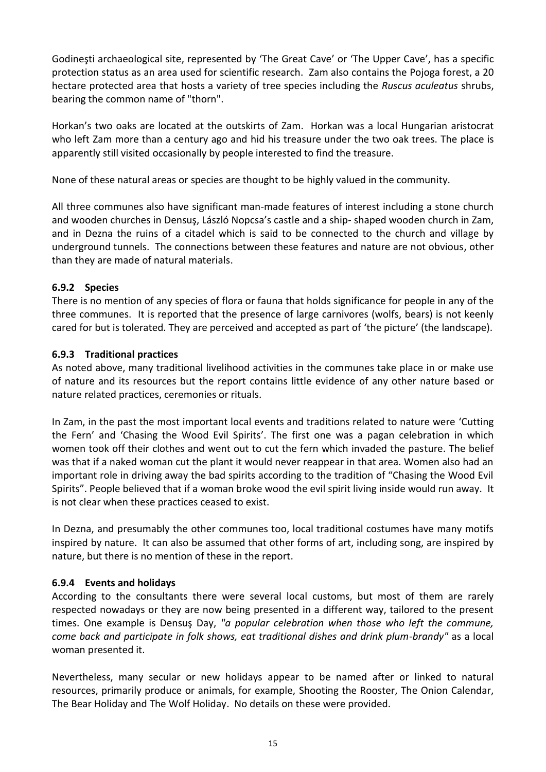Godineşti archaeological site, represented by 'The Great Cave' or 'The Upper Cave', has a specific protection status as an area used for scientific research. Zam also contains the Pojoga forest, a 20 hectare protected area that hosts a variety of tree species including the *Ruscus aculeatus* shrubs, bearing the common name of "thorn".

Horkan's two oaks are located at the outskirts of Zam. Horkan was a local Hungarian aristocrat who left Zam more than a century ago and hid his treasure under the two oak trees. The place is apparently still visited occasionally by people interested to find the treasure.

None of these natural areas or species are thought to be highly valued in the community.

All three communes also have significant man-made features of interest including a stone church and wooden churches in Densuş, László Nopcsa's castle and a ship- shaped wooden church in Zam, and in Dezna the ruins of a citadel which is said to be connected to the church and village by underground tunnels. The connections between these features and nature are not obvious, other than they are made of natural materials.

#### <span id="page-15-0"></span>**6.9.2 Species**

There is no mention of any species of flora or fauna that holds significance for people in any of the three communes. It is reported that the presence of large carnivores (wolfs, bears) is not keenly cared for but is tolerated. They are perceived and accepted as part of 'the picture' (the landscape).

#### <span id="page-15-1"></span>**6.9.3 Traditional practices**

As noted above, many traditional livelihood activities in the communes take place in or make use of nature and its resources but the report contains little evidence of any other nature based or nature related practices, ceremonies or rituals.

In Zam, in the past the most important local events and traditions related to nature were 'Cutting the Fern' and 'Chasing the Wood Evil Spirits'. The first one was a pagan celebration in which women took off their clothes and went out to cut the fern which invaded the pasture. The belief was that if a naked woman cut the plant it would never reappear in that area. Women also had an important role in driving away the bad spirits according to the tradition of "Chasing the Wood Evil Spirits". People believed that if a woman broke wood the evil spirit living inside would run away. It is not clear when these practices ceased to exist.

In Dezna, and presumably the other communes too, local traditional costumes have many motifs inspired by nature. It can also be assumed that other forms of art, including song, are inspired by nature, but there is no mention of these in the report.

#### <span id="page-15-2"></span>**6.9.4 Events and holidays**

According to the consultants there were several local customs, but most of them are rarely respected nowadays or they are now being presented in a different way, tailored to the present times. One example is Densuş Day, *"a popular celebration when those who left the commune, come back and participate in folk shows, eat traditional dishes and drink plum-brandy"* as a local woman presented it.

Nevertheless, many secular or new holidays appear to be named after or linked to natural resources, primarily produce or animals, for example, Shooting the Rooster, The Onion Calendar, The Bear Holiday and The Wolf Holiday. No details on these were provided.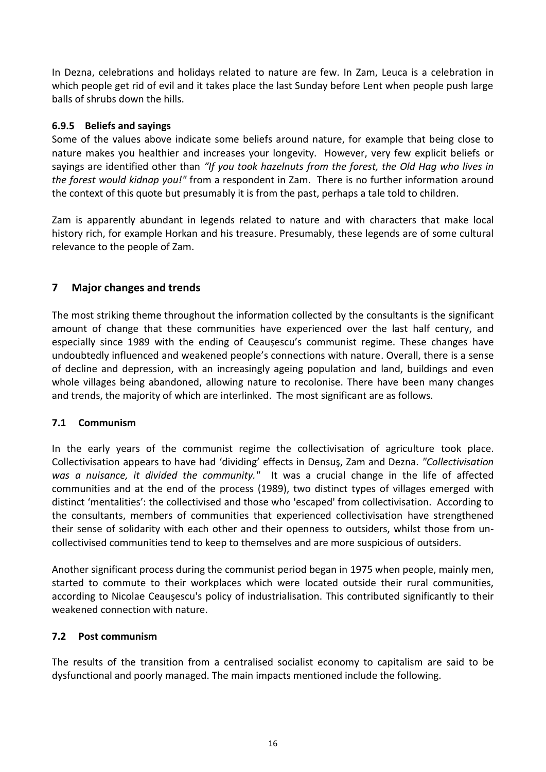In Dezna, celebrations and holidays related to nature are few. In Zam, Leuca is a celebration in which people get rid of evil and it takes place the last Sunday before Lent when people push large balls of shrubs down the hills.

#### <span id="page-16-0"></span>**6.9.5 Beliefs and sayings**

Some of the values above indicate some beliefs around nature, for example that being close to nature makes you healthier and increases your longevity. However, very few explicit beliefs or sayings are identified other than *"If you took hazelnuts from the forest, the Old Hag who lives in the forest would kidnap you!"* from a respondent in Zam. There is no further information around the context of this quote but presumably it is from the past, perhaps a tale told to children.

Zam is apparently abundant in legends related to nature and with characters that make local history rich, for example Horkan and his treasure. Presumably, these legends are of some cultural relevance to the people of Zam.

# <span id="page-16-1"></span>**7 Major changes and trends**

The most striking theme throughout the information collected by the consultants is the significant amount of change that these communities have experienced over the last half century, and especially since 1989 with the ending of Ceaușescu's communist regime. These changes have undoubtedly influenced and weakened people's connections with nature. Overall, there is a sense of decline and depression, with an increasingly ageing population and land, buildings and even whole villages being abandoned, allowing nature to recolonise. There have been many changes and trends, the majority of which are interlinked. The most significant are as follows.

#### <span id="page-16-2"></span>**7.1 Communism**

In the early years of the communist regime the collectivisation of agriculture took place. Collectivisation appears to have had 'dividing' effects in Densuş, Zam and Dezna. *"Collectivisation was a nuisance, it divided the community."* It was a crucial change in the life of affected communities and at the end of the process (1989), two distinct types of villages emerged with distinct 'mentalities': the collectivised and those who 'escaped' from collectivisation. According to the consultants, members of communities that experienced collectivisation have strengthened their sense of solidarity with each other and their openness to outsiders, whilst those from uncollectivised communities tend to keep to themselves and are more suspicious of outsiders.

Another significant process during the communist period began in 1975 when people, mainly men, started to commute to their workplaces which were located outside their rural communities, according to Nicolae Ceauşescu's policy of industrialisation. This contributed significantly to their weakened connection with nature.

#### <span id="page-16-3"></span>**7.2 Post communism**

The results of the transition from a centralised socialist economy to capitalism are said to be dysfunctional and poorly managed. The main impacts mentioned include the following.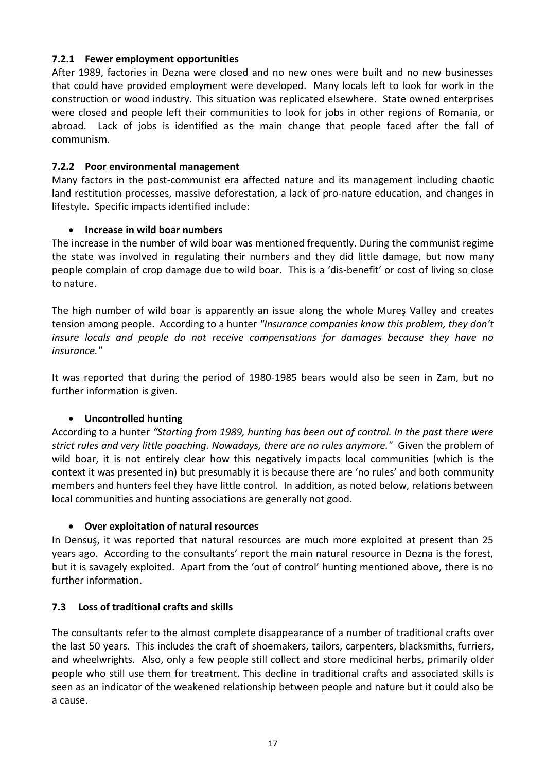#### <span id="page-17-0"></span>**7.2.1 Fewer employment opportunities**

After 1989, factories in Dezna were closed and no new ones were built and no new businesses that could have provided employment were developed. Many locals left to look for work in the construction or wood industry. This situation was replicated elsewhere. State owned enterprises were closed and people left their communities to look for jobs in other regions of Romania, or abroad. Lack of jobs is identified as the main change that people faced after the fall of communism.

#### <span id="page-17-1"></span>**7.2.2 Poor environmental management**

Many factors in the post-communist era affected nature and its management including chaotic land restitution processes, massive deforestation, a lack of pro-nature education, and changes in lifestyle. Specific impacts identified include:

#### **Increase in wild boar numbers**

The increase in the number of wild boar was mentioned frequently. During the communist regime the state was involved in regulating their numbers and they did little damage, but now many people complain of crop damage due to wild boar. This is a 'dis-benefit' or cost of living so close to nature.

The high number of wild boar is apparently an issue along the whole Mureş Valley and creates tension among people. According to a hunter *"Insurance companies know this problem, they don't insure locals and people do not receive compensations for damages because they have no insurance."*

It was reported that during the period of 1980-1985 bears would also be seen in Zam, but no further information is given.

#### **Uncontrolled hunting**

According to a hunter *"Starting from 1989, hunting has been out of control. In the past there were strict rules and very little poaching. Nowadays, there are no rules anymore."* Given the problem of wild boar, it is not entirely clear how this negatively impacts local communities (which is the context it was presented in) but presumably it is because there are 'no rules' and both community members and hunters feel they have little control. In addition, as noted below, relations between local communities and hunting associations are generally not good.

#### **Over exploitation of natural resources**

In Densuş, it was reported that natural resources are much more exploited at present than 25 years ago. According to the consultants' report the main natural resource in Dezna is the forest, but it is savagely exploited. Apart from the 'out of control' hunting mentioned above, there is no further information.

#### <span id="page-17-2"></span>**7.3 Loss of traditional crafts and skills**

The consultants refer to the almost complete disappearance of a number of traditional crafts over the last 50 years. This includes the craft of shoemakers, tailors, carpenters, blacksmiths, furriers, and wheelwrights. Also, only a few people still collect and store medicinal herbs, primarily older people who still use them for treatment. This decline in traditional crafts and associated skills is seen as an indicator of the weakened relationship between people and nature but it could also be a cause.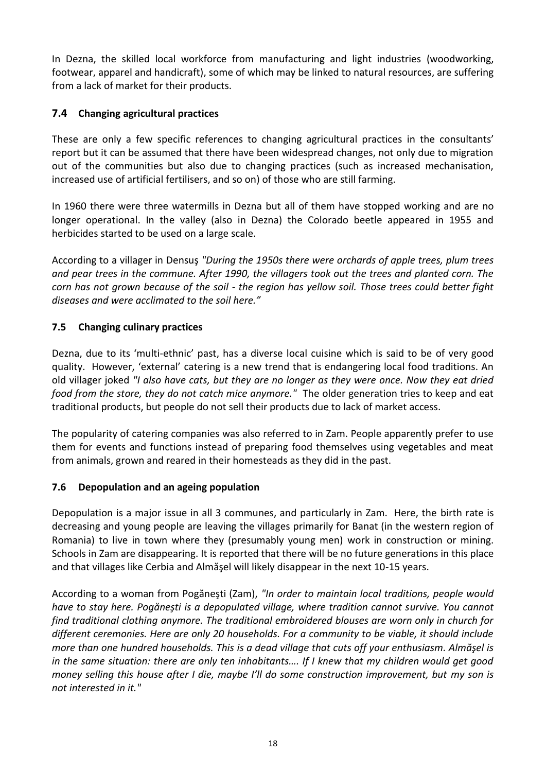In Dezna, the skilled local workforce from manufacturing and light industries (woodworking, footwear, apparel and handicraft), some of which may be linked to natural resources, are suffering from a lack of market for their products.

# <span id="page-18-0"></span>**7.4 Changing agricultural practices**

These are only a few specific references to changing agricultural practices in the consultants' report but it can be assumed that there have been widespread changes, not only due to migration out of the communities but also due to changing practices (such as increased mechanisation, increased use of artificial fertilisers, and so on) of those who are still farming.

In 1960 there were three watermills in Dezna but all of them have stopped working and are no longer operational. In the valley (also in Dezna) the Colorado beetle appeared in 1955 and herbicides started to be used on a large scale.

According to a villager in Densuş *"During the 1950s there were orchards of apple trees, plum trees and pear trees in the commune. After 1990, the villagers took out the trees and planted corn. The corn has not grown because of the soil - the region has yellow soil. Those trees could better fight diseases and were acclimated to the soil here."*

# <span id="page-18-1"></span>**7.5 Changing culinary practices**

Dezna, due to its 'multi-ethnic' past, has a diverse local cuisine which is said to be of very good quality. However, 'external' catering is a new trend that is endangering local food traditions. An old villager joked *"I also have cats, but they are no longer as they were once. Now they eat dried food from the store, they do not catch mice anymore."* The older generation tries to keep and eat traditional products, but people do not sell their products due to lack of market access.

The popularity of catering companies was also referred to in Zam. People apparently prefer to use them for events and functions instead of preparing food themselves using vegetables and meat from animals, grown and reared in their homesteads as they did in the past.

# <span id="page-18-2"></span>**7.6 Depopulation and an ageing population**

Depopulation is a major issue in all 3 communes, and particularly in Zam. Here, the birth rate is decreasing and young people are leaving the villages primarily for Banat (in the western region of Romania) to live in town where they (presumably young men) work in construction or mining. Schools in Zam are disappearing. It is reported that there will be no future generations in this place and that villages like Cerbia and Almăşel will likely disappear in the next 10-15 years.

According to a woman from Pogăneşti (Zam), *"In order to maintain local traditions, people would have to stay here. Pogăneşti is a depopulated village, where tradition cannot survive. You cannot find traditional clothing anymore. The traditional embroidered blouses are worn only in church for different ceremonies. Here are only 20 households. For a community to be viable, it should include more than one hundred households. This is a dead village that cuts off your enthusiasm. Almăşel is in the same situation: there are only ten inhabitants…. If I knew that my children would get good money selling this house after I die, maybe I'll do some construction improvement, but my son is not interested in it."*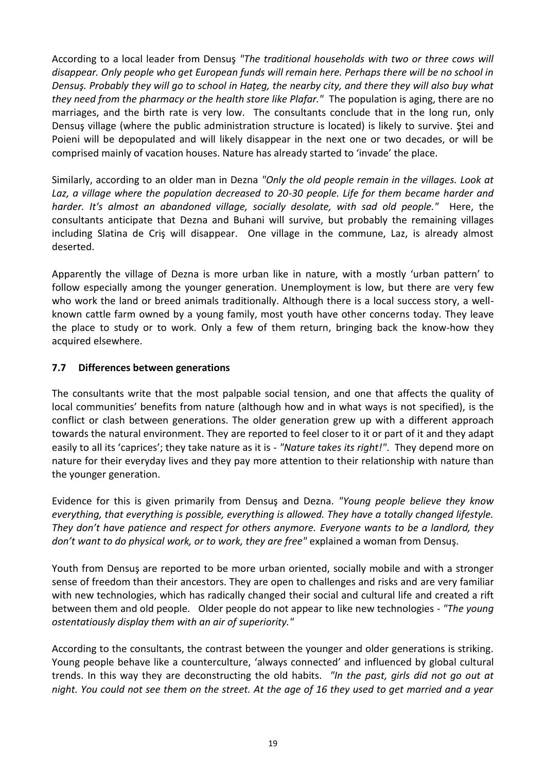According to a local leader from Densuş *"The traditional households with two or three cows will disappear. Only people who get European funds will remain here. Perhaps there will be no school in Densuş. Probably they will go to school in Hațeg, the nearby city, and there they will also buy what they need from the pharmacy or the health store like Plafar."* The population is aging, there are no marriages, and the birth rate is very low. The consultants conclude that in the long run, only Densuş village (where the public administration structure is located) is likely to survive. Ştei and Poieni will be depopulated and will likely disappear in the next one or two decades, or will be comprised mainly of vacation houses. Nature has already started to 'invade' the place.

Similarly, according to an older man in Dezna *"Only the old people remain in the villages. Look at Laz, a village where the population decreased to 20-30 people. Life for them became harder and harder. It's almost an abandoned village, socially desolate, with sad old people."* Here, the consultants anticipate that Dezna and Buhani will survive, but probably the remaining villages including Slatina de Criş will disappear. One village in the commune, Laz, is already almost deserted.

Apparently the village of Dezna is more urban like in nature, with a mostly 'urban pattern' to follow especially among the younger generation. Unemployment is low, but there are very few who work the land or breed animals traditionally. Although there is a local success story, a wellknown cattle farm owned by a young family, most youth have other concerns today. They leave the place to study or to work. Only a few of them return, bringing back the know-how they acquired elsewhere.

#### <span id="page-19-0"></span>**7.7 Differences between generations**

The consultants write that the most palpable social tension, and one that affects the quality of local communities' benefits from nature (although how and in what ways is not specified), is the conflict or clash between generations. The older generation grew up with a different approach towards the natural environment. They are reported to feel closer to it or part of it and they adapt easily to all its 'caprices'; they take nature as it is - *"Nature takes its right!"*. They depend more on nature for their everyday lives and they pay more attention to their relationship with nature than the younger generation.

Evidence for this is given primarily from Densuş and Dezna. *"Young people believe they know everything, that everything is possible, everything is allowed. They have a totally changed lifestyle. They don't have patience and respect for others anymore. Everyone wants to be a landlord, they don't want to do physical work, or to work, they are free"* explained a woman from Densuş.

Youth from Densuş are reported to be more urban oriented, socially mobile and with a stronger sense of freedom than their ancestors. They are open to challenges and risks and are very familiar with new technologies, which has radically changed their social and cultural life and created a rift between them and old people. Older people do not appear to like new technologies - *"The young ostentatiously display them with an air of superiority."*

According to the consultants, the contrast between the younger and older generations is striking. Young people behave like a counterculture, 'always connected' and influenced by global cultural trends. In this way they are deconstructing the old habits. *"In the past, girls did not go out at night. You could not see them on the street. At the age of 16 they used to get married and a year*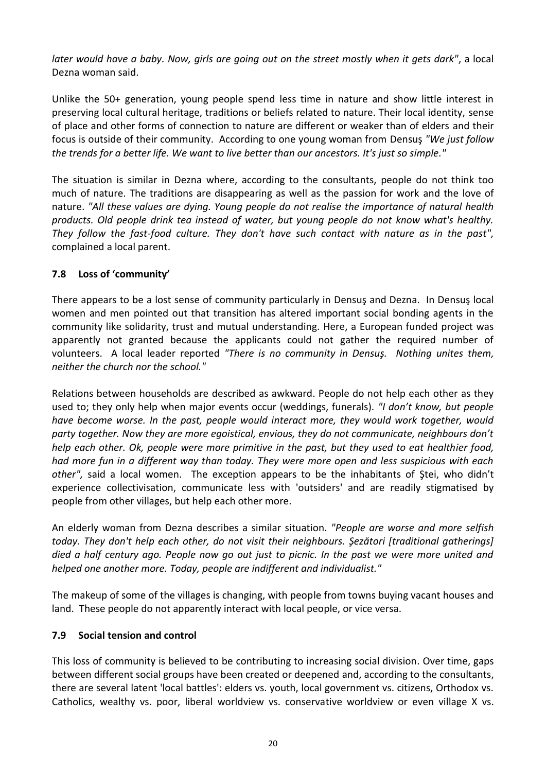*later would have a baby. Now, girls are going out on the street mostly when it gets dark"*, a local Dezna woman said.

Unlike the 50+ generation, young people spend less time in nature and show little interest in preserving local cultural heritage, traditions or beliefs related to nature. Their local identity, sense of place and other forms of connection to nature are different or weaker than of elders and their focus is outside of their community. According to one young woman from Densuş *"We just follow the trends for a better life. We want to live better than our ancestors. It's just so simple."*

The situation is similar in Dezna where, according to the consultants, people do not think too much of nature. The traditions are disappearing as well as the passion for work and the love of nature. *"All these values are dying. Young people do not realise the importance of natural health products. Old people drink tea instead of water, but young people do not know what's healthy. They follow the fast-food culture. They don't have such contact with nature as in the past",*  complained a local parent.

#### <span id="page-20-0"></span>**7.8 Loss of 'community'**

There appears to be a lost sense of community particularly in Densuş and Dezna. In Densuş local women and men pointed out that transition has altered important social bonding agents in the community like solidarity, trust and mutual understanding. Here, a European funded project was apparently not granted because the applicants could not gather the required number of volunteers. A local leader reported *"There is no community in Densuş. Nothing unites them, neither the church nor the school."*

Relations between households are described as awkward. People do not help each other as they used to; they only help when major events occur (weddings, funerals). *"I don't know, but people have become worse. In the past, people would interact more, they would work together, would party together. Now they are more egoistical, envious, they do not communicate, neighbours don't help each other. Ok, people were more primitive in the past, but they used to eat healthier food, had more fun in a different way than today. They were more open and less suspicious with each other",* said a local women. The exception appears to be the inhabitants of Ştei, who didn't experience collectivisation, communicate less with 'outsiders' and are readily stigmatised by people from other villages, but help each other more.

An elderly woman from Dezna describes a similar situation. *"People are worse and more selfish today. They don't help each other, do not visit their neighbours. Şezători [traditional gatherings] died a half century ago. People now go out just to picnic. In the past we were more united and helped one another more. Today, people are indifferent and individualist."*

The makeup of some of the villages is changing, with people from towns buying vacant houses and land. These people do not apparently interact with local people, or vice versa.

#### <span id="page-20-1"></span>**7.9 Social tension and control**

This loss of community is believed to be contributing to increasing social division. Over time, gaps between different social groups have been created or deepened and, according to the consultants, there are several latent 'local battles': elders vs. youth, local government vs. citizens, Orthodox vs. Catholics, wealthy vs. poor, liberal worldview vs. conservative worldview or even village X vs.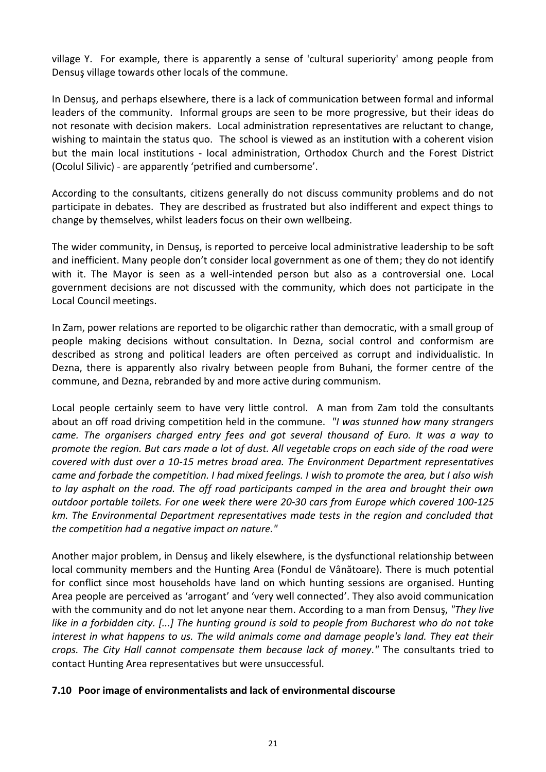village Y. For example, there is apparently a sense of 'cultural superiority' among people from Densuş village towards other locals of the commune.

In Densuş, and perhaps elsewhere, there is a lack of communication between formal and informal leaders of the community. Informal groups are seen to be more progressive, but their ideas do not resonate with decision makers. Local administration representatives are reluctant to change, wishing to maintain the status quo. The school is viewed as an institution with a coherent vision but the main local institutions - local administration, Orthodox Church and the Forest District (Ocolul Silivic) - are apparently 'petrified and cumbersome'.

According to the consultants, citizens generally do not discuss community problems and do not participate in debates. They are described as frustrated but also indifferent and expect things to change by themselves, whilst leaders focus on their own wellbeing.

The wider community, in Densuş, is reported to perceive local administrative leadership to be soft and inefficient. Many people don't consider local government as one of them; they do not identify with it. The Mayor is seen as a well-intended person but also as a controversial one. Local government decisions are not discussed with the community, which does not participate in the Local Council meetings.

In Zam, power relations are reported to be oligarchic rather than democratic, with a small group of people making decisions without consultation. In Dezna, social control and conformism are described as strong and political leaders are often perceived as corrupt and individualistic. In Dezna, there is apparently also rivalry between people from Buhani, the former centre of the commune, and Dezna, rebranded by and more active during communism.

Local people certainly seem to have very little control. A man from Zam told the consultants about an off road driving competition held in the commune. *"I was stunned how many strangers came. The organisers charged entry fees and got several thousand of Euro. It was a way to promote the region. But cars made a lot of dust. All vegetable crops on each side of the road were covered with dust over a 10-15 metres broad area. The Environment Department representatives came and forbade the competition. I had mixed feelings. I wish to promote the area, but I also wish to lay asphalt on the road. The off road participants camped in the area and brought their own outdoor portable toilets. For one week there were 20-30 cars from Europe which covered 100-125 km. The Environmental Department representatives made tests in the region and concluded that the competition had a negative impact on nature."*

Another major problem, in Densuş and likely elsewhere, is the dysfunctional relationship between local community members and the Hunting Area (Fondul de Vânătoare). There is much potential for conflict since most households have land on which hunting sessions are organised. Hunting Area people are perceived as 'arrogant' and 'very well connected'. They also avoid communication with the community and do not let anyone near them. According to a man from Densuş, *"They live like in a forbidden city. [...] The hunting ground is sold to people from Bucharest who do not take interest in what happens to us. The wild animals come and damage people's land. They eat their crops. The City Hall cannot compensate them because lack of money."* The consultants tried to contact Hunting Area representatives but were unsuccessful.

#### <span id="page-21-0"></span>**7.10 Poor image of environmentalists and lack of environmental discourse**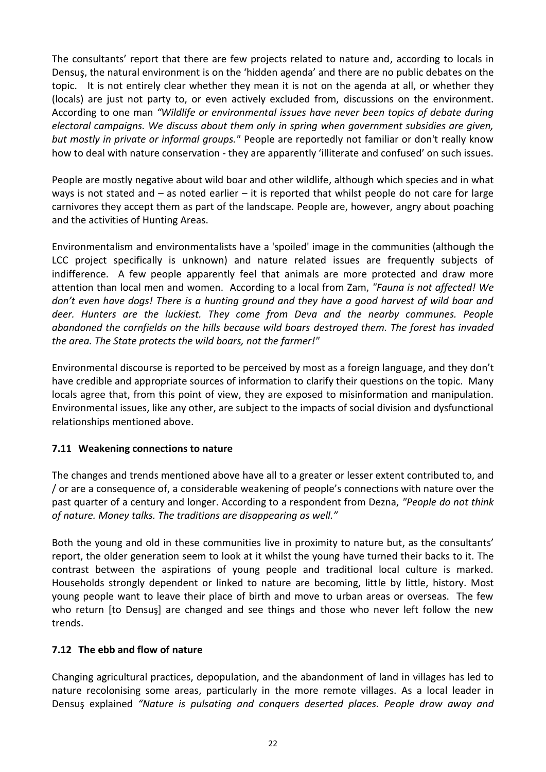The consultants' report that there are few projects related to nature and, according to locals in Densuş, the natural environment is on the 'hidden agenda' and there are no public debates on the topic. It is not entirely clear whether they mean it is not on the agenda at all, or whether they (locals) are just not party to, or even actively excluded from, discussions on the environment. According to one man *"Wildlife or environmental issues have never been topics of debate during electoral campaigns. We discuss about them only in spring when government subsidies are given, but mostly in private or informal groups."* People are reportedly not familiar or don't really know how to deal with nature conservation - they are apparently 'illiterate and confused' on such issues.

People are mostly negative about wild boar and other wildlife, although which species and in what ways is not stated and – as noted earlier – it is reported that whilst people do not care for large carnivores they accept them as part of the landscape. People are, however, angry about poaching and the activities of Hunting Areas.

Environmentalism and environmentalists have a 'spoiled' image in the communities (although the LCC project specifically is unknown) and nature related issues are frequently subjects of indifference. A few people apparently feel that animals are more protected and draw more attention than local men and women. According to a local from Zam, *"Fauna is not affected! We don't even have dogs! There is a hunting ground and they have a good harvest of wild boar and deer. Hunters are the luckiest. They come from Deva and the nearby communes. People abandoned the cornfields on the hills because wild boars destroyed them. The forest has invaded the area. The State protects the wild boars, not the farmer!"*

Environmental discourse is reported to be perceived by most as a foreign language, and they don't have credible and appropriate sources of information to clarify their questions on the topic. Many locals agree that, from this point of view, they are exposed to misinformation and manipulation. Environmental issues, like any other, are subject to the impacts of social division and dysfunctional relationships mentioned above.

# <span id="page-22-0"></span>**7.11 Weakening connections to nature**

The changes and trends mentioned above have all to a greater or lesser extent contributed to, and / or are a consequence of, a considerable weakening of people's connections with nature over the past quarter of a century and longer. According to a respondent from Dezna, *"People do not think of nature. Money talks. The traditions are disappearing as well."*

Both the young and old in these communities live in proximity to nature but, as the consultants' report, the older generation seem to look at it whilst the young have turned their backs to it. The contrast between the aspirations of young people and traditional local culture is marked. Households strongly dependent or linked to nature are becoming, little by little, history. Most young people want to leave their place of birth and move to urban areas or overseas. The few who return [to Densus] are changed and see things and those who never left follow the new trends.

#### <span id="page-22-1"></span>**7.12 The ebb and flow of nature**

Changing agricultural practices, depopulation, and the abandonment of land in villages has led to nature recolonising some areas, particularly in the more remote villages. As a local leader in Densuş explained *"Nature is pulsating and conquers deserted places. People draw away and*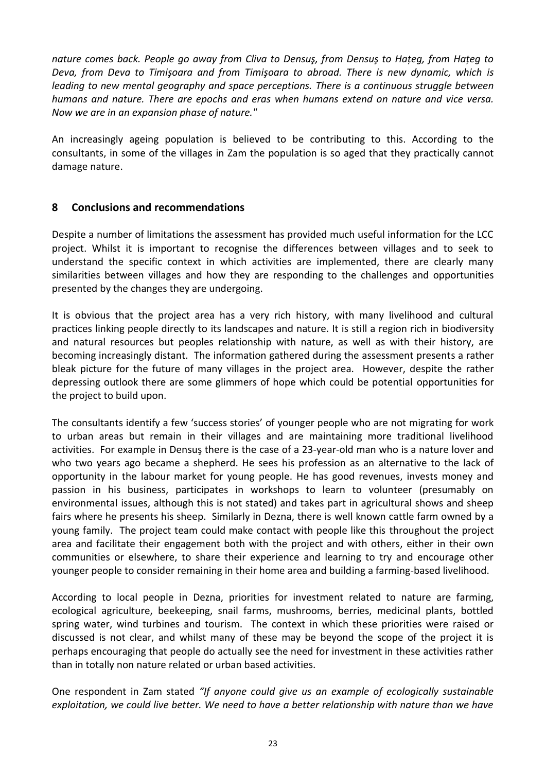*nature comes back. People go away from Cliva to Densuş, from Densuş to Hațeg, from Hațeg to Deva, from Deva to Timişoara and from Timişoara to abroad. There is new dynamic, which is leading to new mental geography and space perceptions. There is a continuous struggle between humans and nature. There are epochs and eras when humans extend on nature and vice versa. Now we are in an expansion phase of nature."*

An increasingly ageing population is believed to be contributing to this. According to the consultants, in some of the villages in Zam the population is so aged that they practically cannot damage nature.

#### <span id="page-23-0"></span>**8 Conclusions and recommendations**

Despite a number of limitations the assessment has provided much useful information for the LCC project. Whilst it is important to recognise the differences between villages and to seek to understand the specific context in which activities are implemented, there are clearly many similarities between villages and how they are responding to the challenges and opportunities presented by the changes they are undergoing.

It is obvious that the project area has a very rich history, with many livelihood and cultural practices linking people directly to its landscapes and nature. It is still a region rich in biodiversity and natural resources but peoples relationship with nature, as well as with their history, are becoming increasingly distant. The information gathered during the assessment presents a rather bleak picture for the future of many villages in the project area. However, despite the rather depressing outlook there are some glimmers of hope which could be potential opportunities for the project to build upon.

The consultants identify a few 'success stories' of younger people who are not migrating for work to urban areas but remain in their villages and are maintaining more traditional livelihood activities. For example in Densuş there is the case of a 23-year-old man who is a nature lover and who two years ago became a shepherd. He sees his profession as an alternative to the lack of opportunity in the labour market for young people. He has good revenues, invests money and passion in his business, participates in workshops to learn to volunteer (presumably on environmental issues, although this is not stated) and takes part in agricultural shows and sheep fairs where he presents his sheep. Similarly in Dezna, there is well known cattle farm owned by a young family. The project team could make contact with people like this throughout the project area and facilitate their engagement both with the project and with others, either in their own communities or elsewhere, to share their experience and learning to try and encourage other younger people to consider remaining in their home area and building a farming-based livelihood.

According to local people in Dezna, priorities for investment related to nature are farming, ecological agriculture, beekeeping, snail farms, mushrooms, berries, medicinal plants, bottled spring water, wind turbines and tourism. The context in which these priorities were raised or discussed is not clear, and whilst many of these may be beyond the scope of the project it is perhaps encouraging that people do actually see the need for investment in these activities rather than in totally non nature related or urban based activities.

One respondent in Zam stated *"If anyone could give us an example of ecologically sustainable exploitation, we could live better. We need to have a better relationship with nature than we have*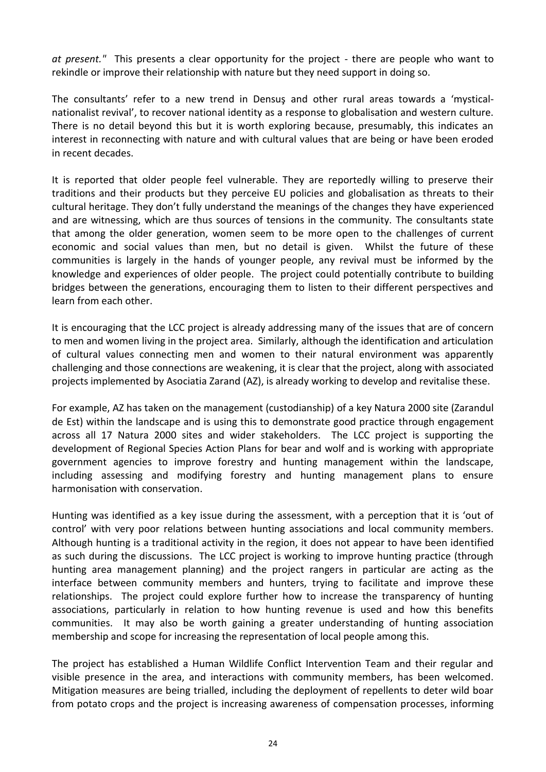*at present."* This presents a clear opportunity for the project - there are people who want to rekindle or improve their relationship with nature but they need support in doing so.

The consultants' refer to a new trend in Densuş and other rural areas towards a 'mysticalnationalist revival', to recover national identity as a response to globalisation and western culture. There is no detail beyond this but it is worth exploring because, presumably, this indicates an interest in reconnecting with nature and with cultural values that are being or have been eroded in recent decades.

It is reported that older people feel vulnerable. They are reportedly willing to preserve their traditions and their products but they perceive EU policies and globalisation as threats to their cultural heritage. They don't fully understand the meanings of the changes they have experienced and are witnessing, which are thus sources of tensions in the community. The consultants state that among the older generation, women seem to be more open to the challenges of current economic and social values than men, but no detail is given. Whilst the future of these communities is largely in the hands of younger people, any revival must be informed by the knowledge and experiences of older people. The project could potentially contribute to building bridges between the generations, encouraging them to listen to their different perspectives and learn from each other.

It is encouraging that the LCC project is already addressing many of the issues that are of concern to men and women living in the project area. Similarly, although the identification and articulation of cultural values connecting men and women to their natural environment was apparently challenging and those connections are weakening, it is clear that the project, along with associated projects implemented by Asociatia Zarand (AZ), is already working to develop and revitalise these.

For example, AZ has taken on the management (custodianship) of a key Natura 2000 site (Zarandul de Est) within the landscape and is using this to demonstrate good practice through engagement across all 17 Natura 2000 sites and wider stakeholders. The LCC project is supporting the development of Regional Species Action Plans for bear and wolf and is working with appropriate government agencies to improve forestry and hunting management within the landscape, including assessing and modifying forestry and hunting management plans to ensure harmonisation with conservation.

Hunting was identified as a key issue during the assessment, with a perception that it is 'out of control' with very poor relations between hunting associations and local community members. Although hunting is a traditional activity in the region, it does not appear to have been identified as such during the discussions. The LCC project is working to improve hunting practice (through hunting area management planning) and the project rangers in particular are acting as the interface between community members and hunters, trying to facilitate and improve these relationships. The project could explore further how to increase the transparency of hunting associations, particularly in relation to how hunting revenue is used and how this benefits communities. It may also be worth gaining a greater understanding of hunting association membership and scope for increasing the representation of local people among this.

The project has established a Human Wildlife Conflict Intervention Team and their regular and visible presence in the area, and interactions with community members, has been welcomed. Mitigation measures are being trialled, including the deployment of repellents to deter wild boar from potato crops and the project is increasing awareness of compensation processes, informing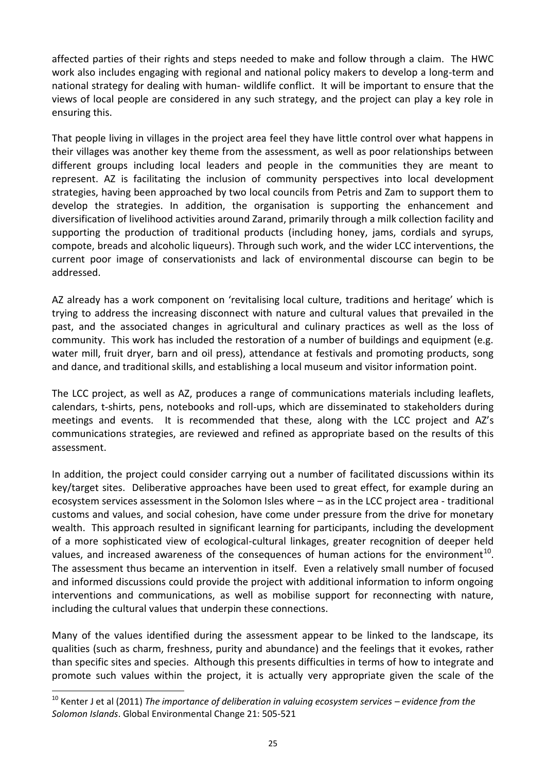affected parties of their rights and steps needed to make and follow through a claim. The HWC work also includes engaging with regional and national policy makers to develop a long-term and national strategy for dealing with human- wildlife conflict. It will be important to ensure that the views of local people are considered in any such strategy, and the project can play a key role in ensuring this.

That people living in villages in the project area feel they have little control over what happens in their villages was another key theme from the assessment, as well as poor relationships between different groups including local leaders and people in the communities they are meant to represent. AZ is facilitating the inclusion of community perspectives into local development strategies, having been approached by two local councils from Petris and Zam to support them to develop the strategies. In addition, the organisation is supporting the enhancement and diversification of livelihood activities around Zarand, primarily through a milk collection facility and supporting the production of traditional products (including honey, jams, cordials and syrups, compote, breads and alcoholic liqueurs). Through such work, and the wider LCC interventions, the current poor image of conservationists and lack of environmental discourse can begin to be addressed.

AZ already has a work component on 'revitalising local culture, traditions and heritage' which is trying to address the increasing disconnect with nature and cultural values that prevailed in the past, and the associated changes in agricultural and culinary practices as well as the loss of community. This work has included the restoration of a number of buildings and equipment (e.g. water mill, fruit dryer, barn and oil press), attendance at festivals and promoting products, song and dance, and traditional skills, and establishing a local museum and visitor information point.

The LCC project, as well as AZ, produces a range of communications materials including leaflets, calendars, t-shirts, pens, notebooks and roll-ups, which are disseminated to stakeholders during meetings and events. It is recommended that these, along with the LCC project and AZ's communications strategies, are reviewed and refined as appropriate based on the results of this assessment.

In addition, the project could consider carrying out a number of facilitated discussions within its key/target sites. Deliberative approaches have been used to great effect, for example during an ecosystem services assessment in the Solomon Isles where – as in the LCC project area - traditional customs and values, and social cohesion, have come under pressure from the drive for monetary wealth. This approach resulted in significant learning for participants, including the development of a more sophisticated view of ecological-cultural linkages, greater recognition of deeper held values, and increased awareness of the consequences of human actions for the environment<sup>10</sup>. The assessment thus became an intervention in itself. Even a relatively small number of focused and informed discussions could provide the project with additional information to inform ongoing interventions and communications, as well as mobilise support for reconnecting with nature, including the cultural values that underpin these connections.

Many of the values identified during the assessment appear to be linked to the landscape, its qualities (such as charm, freshness, purity and abundance) and the feelings that it evokes, rather than specific sites and species. Although this presents difficulties in terms of how to integrate and promote such values within the project, it is actually very appropriate given the scale of the

-

<sup>&</sup>lt;sup>10</sup> Kenter J et al (2011) *The importance of deliberation in valuing ecosystem services – evidence from the Solomon Islands*. Global Environmental Change 21: 505-521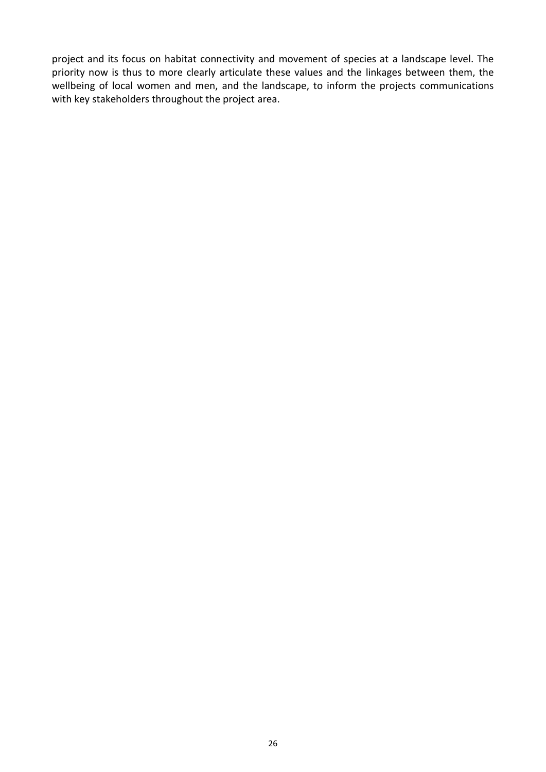project and its focus on habitat connectivity and movement of species at a landscape level. The priority now is thus to more clearly articulate these values and the linkages between them, the wellbeing of local women and men, and the landscape, to inform the projects communications with key stakeholders throughout the project area.